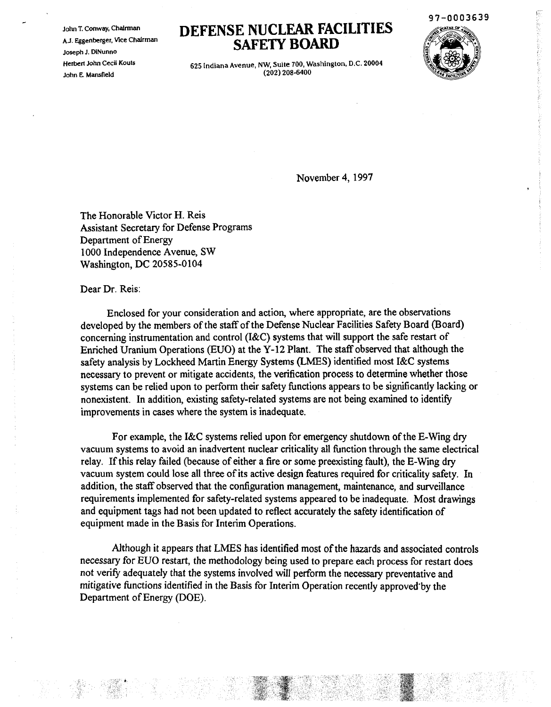John T. Conway, Chairman AJ. Eggenberger, Vice Chairman Joseph J. DINunno Herbert John Cecil Kouts John E. Mamfield

## **DEFENSE NUCLEAR FACILITIES SAFETY BOARD**

97-0003639



625 Indiana Avenue, NW, Suite 700, Washington, D.C. 20004 (202) 208-6400

November 4, 1997

The Honorable Victor H. Reis Assistant Secretary for Defense Programs Department of Energy 1000 Independence Avenue, SW Washington, DC 20585-0104

Dear Dr. Reis:

Enclosed for your consideration and action, where appropriate, are the observations developed by the members of the staff of the Defense Nuclear Facilities Safety Board (Board) concerning instrumentation and control (I&C) systems that will support the safe restart of Enriched Uranium Operations (EUO) at the Y-12 Plant. The staff observed that although the safety analysis by Lockheed Martin Energy Systems (LMES) identified most I&C systems necessary to prevent or mitigate accidents, the verification process to determine whether those systems can be relied upon to perform their safety functions appears to be significantly lacking or nonexistent. In addition, existing safety-related systems are not being examined to identify improvements in cases where the system is inadequate.

For example, the I&C systems relied upon for emergency shutdown of the E-Wing dry vacuum systems to avoid an inadvertent nuclear criticality all function through the same electrical relay. If this relay failed (because of either a fire or some preexisting fault), the E-Wing dry vacuum system could lose all three of its active design features required for criticality safety. In addition, the staff observed that the configuration management, maintenance, and surveillance requirements implemented for safety-related systems appeared to be inadequate. Most drawings and equipment tags had not been updated to reflect accurately the safety identification of equipment made in the Basis for Interim Operations.

Although it appears that LMES has identified most of the hazards and associated controls necessary for EUO restart, the methodology being used to prepare each process for restart does not verify adequately that the systems involved will perform the necessary preventative and mitigative functions identified in the Basis for Interim Operation recently approved'by the Department of Energy (DOE).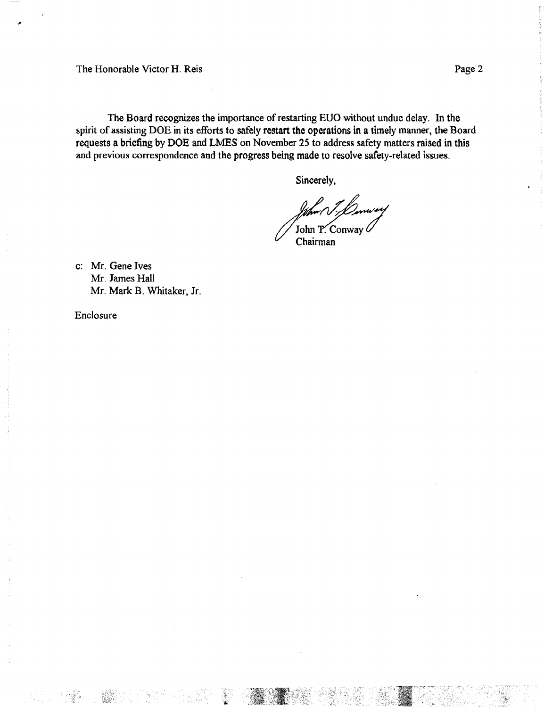The Honorable Victor H. Reis Page 2

The Board recognizes the importance of restarting EUO without undue delay. In the spirit of assisting DOE in its efforts to safely restart the operations in a timely manner, the Board requests a briefing by DOE and LMES on November 25 to address safety matters raised in this and previous correspondence and the progress being made to resolve safety-related issues.

Sincerely,

John P. Conway  $\ell$ Chairman

c: Mr. Gene Ives Mr. James Hall Mr. Mark B. Whitaker, Jr.

Enclosure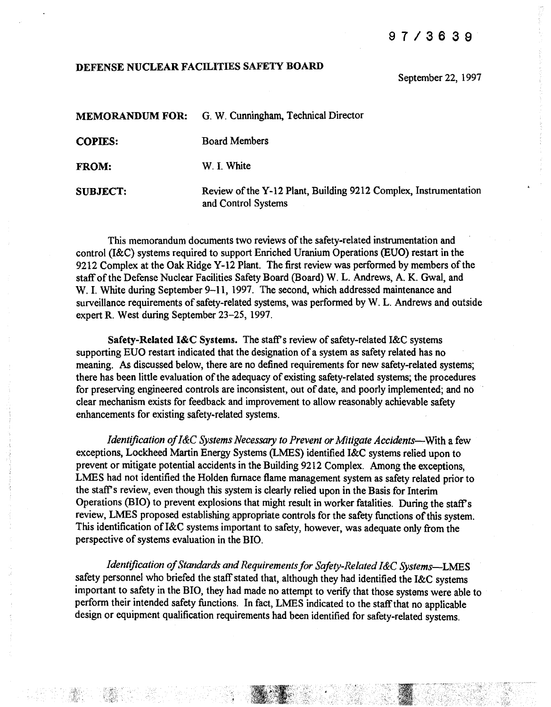## 97/3639

## DEFENSE NUCLEAR FACILITIES SAFETY BOARD

September 22, 1997

| <b>MEMORANDUM FOR:</b> | G. W. Cunningham, Technical Director                             |
|------------------------|------------------------------------------------------------------|
| <b>COPIES:</b>         | <b>Board Members</b>                                             |
| <b>FROM:</b>           | W. I. White                                                      |
| <b>SUBJECT:</b>        | Review of the Y-12 Plant, Building 9212 Complex, Instrumentation |

and Control Systems

This memorandum documents two reviews of the safety-related instrumentation and control (I&C) systems required to support Enriched Uranium Operations (EUO) restart in the 9212 Complex at the Oak Ridge Y-12 Plant. The first review was performed by members of the staff of the Defense Nuclear Facilities Safety Board (Board) W. L. Andrews, A. K. Gwal, and W. I. White during September 9-11, 1997. The second, which addressed maintenance and surveillance requirements of safety-related systems, was performed by W. L. Andrews and outside expert R. West during September 23-25, 1997.

Safety-Related I&C Systems. The staff's review of safety-related I&C systems supporting EUO restart indicated that the designation of a system as safety related has no meaning. As discussed below, there are no defined requirements for new safety-related systems; there has been little evaluation of the adequacy of existing safety-related systems; the procedures for preserving engineered controls are inconsistent, out of date, and poorly implemented; and no clear mechanism exists for feedback and improvement to allow reasonably achievable safety enhancements for existing safety-related systems.

*Identification ofI*&C *Systems Necessary to Prevent or Mitigate Accidents-.*With a few exceptions, Lockheed Martin Energy Systems (LMES) identified I&C systems relied upon to prevent or mitigate potential accidents in the Building 9212 Complex. Among the exceptions, LMES had not identified the Holden furnace flame management system as safety related prior to the staff's review, even though this system is clearly relied upon in the Basis for Interim Operations (BIO) to prevent explosions that might result in worker fatalities. During the staff's review, LMES proposed establishing appropriate controls for the safety functions ofthis system. This identification ofI&C systems important to safety, however, was adequate only from the perspective of systems evaluation in the BIO.

*Identification of Standards and Requirements for Safety-Related I&C Systems*-LMES safety personnel who briefed the staff stated that, although they had identified the I&C systems important to safety in the BIO, they had made no attempt to verify that those systems were able to perfonn their intended safety functions. In fact, LMES indicated to the staffthat no applicable design or equipment qualification requirements had been identified for safety-related systems.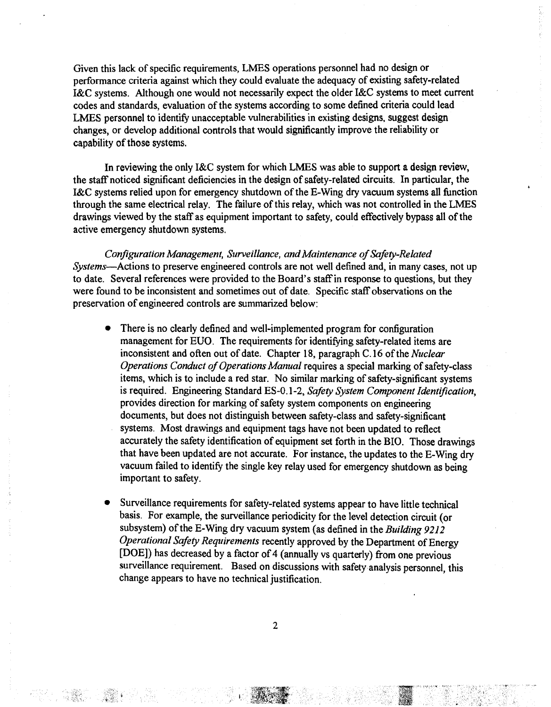Given this lack of specific requirements, LMES operations personnel had no design or performance criteria against which they could evaluate the adequacy of existing safety-related I&C systems. Although one would not necessarily expect the older I&C systems to meet current codes and standards, evaluation of the systems according to some defined criteria could lead LMES personnel to identify unacceptable vulnerabilities in existing designs, suggest design changes, or develop additional controls that would significantly improve the reliability or capability of those systems.

In reviewing the only I&C system for which LMES was able to support a design review, the staff noticed significant deficiencies in the design of safety-related circuits. In particular, the I&C systems relied upon for emergency shutdown of the E-Wing dry vacuum systems all function through the same electrical relay. The failure of this relay, which was not controlled in the LMES drawings viewed by the staff as equipment important to safety, could effectively bypass all of the active emergency Shutdown systems.

*Configuration Management, Surveillance, and Maintenance of Safety-Related Systems-Actions* to preserve engineered controls are not well defined and, in many cases, not up to date. Several references were provided to the Board's staffin response to questions, but they were found to be inconsistent and sometimes out of date. Specific staff observations on the preservation of engineered controls are summarized below:

- There is no clearly defined and well-implemented program for configuration management for EUO. The requirements for identifying safety-related items are inconsistent and often out of date. Chapter 18, paragraph C.16 ofthe *Nuclear Operations Conduct of Operations Manual* requires a special marking of safety-class items, which is to include a red star. No similar marking of safety-significant systems is required. Engineering Standard ES-0.1-2, *Safety System Component Identification,* provides direction for marking of safety system components on engineering documents, but does not distinguish between safety-class and safety-significant systems. Most drawings and equipment tags have not been updated to reflect accurately the safety identification of equipment set forth in the BIO. Those drawings that have been updated are not accurate. For instance, the updates to the E-Wing dry vacuum failed to identify the single key relay used for emergency shutdown as being important to safety.
- Surveillance requirements for safety-related systems appear to have little technical basis. For example, the surveillance periodicity for the level detection circuit (or subsystem) of the E-Wing dry vacuum system (as defined in the *Building* 9212 *Operational Safety Requirements* recently approved by the Department of Energy [DOE]) has decreased by a factor of 4 (annually vs quarterly) from one previous surveillance requirement. Based on discussions with safety analysis personnel, this change appears to have no technical justification.

2